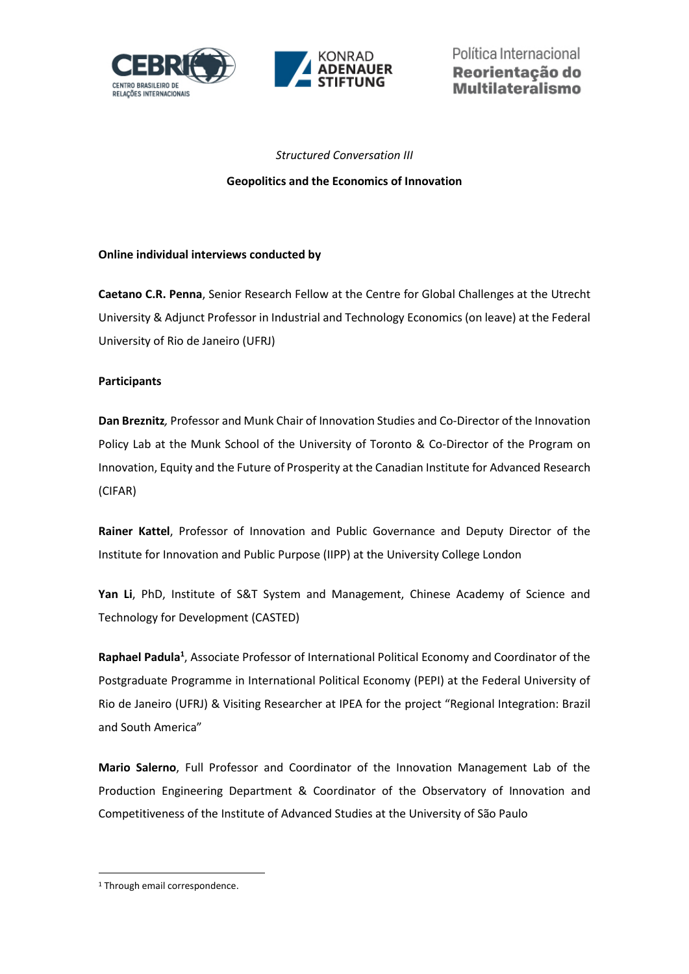



#### *Structured Conversation III*

#### **Geopolitics and the Economics of Innovation**

#### **Online individual interviews conducted by**

**Caetano C.R. Penna**, Senior Research Fellow at the Centre for Global Challenges at the Utrecht University & Adjunct Professor in Industrial and Technology Economics (on leave) at the Federal University of Rio de Janeiro (UFRJ)

#### **Participants**

**Dan Breznitz***,* Professor and Munk Chair of Innovation Studies and Co-Director of the Innovation Policy Lab at the Munk School of the University of Toronto & Co-Director of the Program on Innovation, Equity and the Future of Prosperity at the Canadian Institute for Advanced Research (CIFAR)

**Rainer Kattel**, Professor of Innovation and Public Governance and Deputy Director of the Institute for Innovation and Public Purpose (IIPP) at the University College London

**Yan Li**, PhD, Institute of S&T System and Management, Chinese Academy of Science and Technology for Development (CASTED)

**Raphael Padula<sup>1</sup>** , Associate Professor of International Political Economy and Coordinator of the Postgraduate Programme in International Political Economy (PEPI) at the Federal University of Rio de Janeiro (UFRJ) & Visiting Researcher at IPEA for the project "Regional Integration: Brazil and South America"

**Mario Salerno**, Full Professor and Coordinator of the Innovation Management Lab of the Production Engineering Department & Coordinator of the Observatory of Innovation and Competitiveness of the Institute of Advanced Studies at the University of São Paulo

<sup>&</sup>lt;sup>1</sup> Through email correspondence.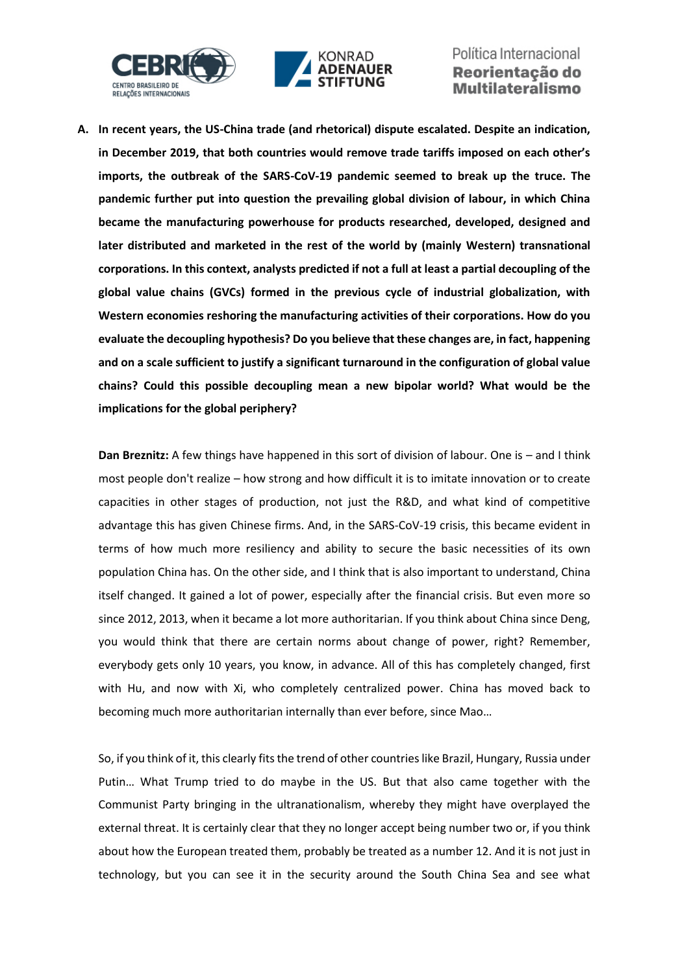



**A. In recent years, the US-China trade (and rhetorical) dispute escalated. Despite an indication, in December 2019, that both countries would remove trade tariffs imposed on each other's imports, the outbreak of the SARS-CoV-19 pandemic seemed to break up the truce. The pandemic further put into question the prevailing global division of labour, in which China became the manufacturing powerhouse for products researched, developed, designed and later distributed and marketed in the rest of the world by (mainly Western) transnational corporations. In this context, analysts predicted if not a full at least a partial decoupling of the global value chains (GVCs) formed in the previous cycle of industrial globalization, with Western economies reshoring the manufacturing activities of their corporations. How do you evaluate the decoupling hypothesis? Do you believe that these changes are, in fact, happening and on a scale sufficient to justify a significant turnaround in the configuration of global value chains? Could this possible decoupling mean a new bipolar world? What would be the implications for the global periphery?** 

**Dan Breznitz:** A few things have happened in this sort of division of labour. One is – and I think most people don't realize – how strong and how difficult it is to imitate innovation or to create capacities in other stages of production, not just the R&D, and what kind of competitive advantage this has given Chinese firms. And, in the SARS-CoV-19 crisis, this became evident in terms of how much more resiliency and ability to secure the basic necessities of its own population China has. On the other side, and I think that is also important to understand, China itself changed. It gained a lot of power, especially after the financial crisis. But even more so since 2012, 2013, when it became a lot more authoritarian. If you think about China since Deng, you would think that there are certain norms about change of power, right? Remember, everybody gets only 10 years, you know, in advance. All of this has completely changed, first with Hu, and now with Xi, who completely centralized power. China has moved back to becoming much more authoritarian internally than ever before, since Mao…

So, if you think of it, this clearly fits the trend of other countries like Brazil, Hungary, Russia under Putin… What Trump tried to do maybe in the US. But that also came together with the Communist Party bringing in the ultranationalism, whereby they might have overplayed the external threat. It is certainly clear that they no longer accept being number two or, if you think about how the European treated them, probably be treated as a number 12. And it is not just in technology, but you can see it in the security around the South China Sea and see what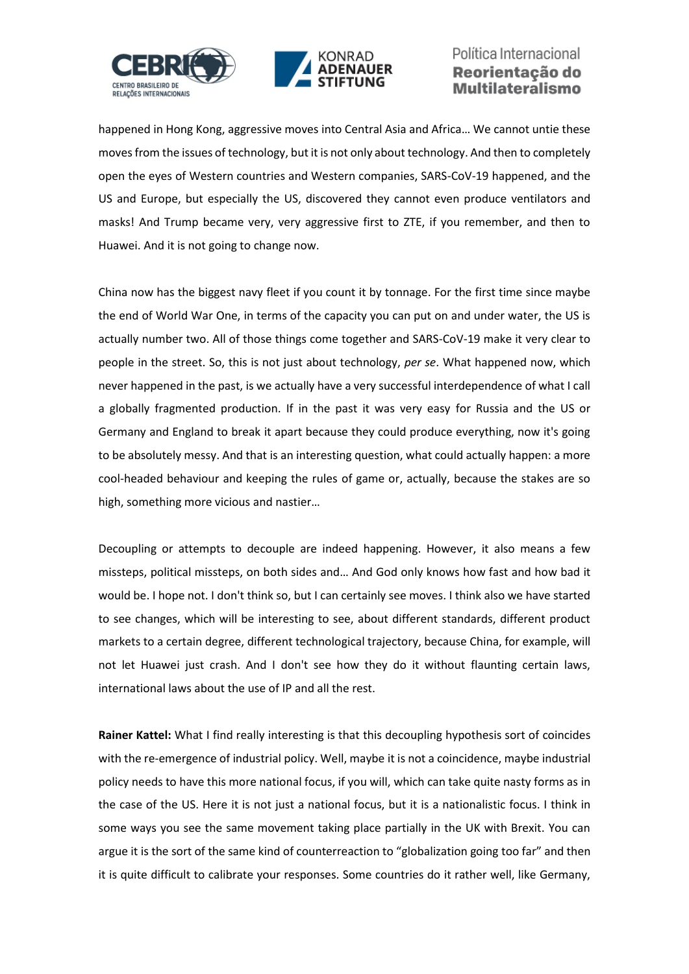



happened in Hong Kong, aggressive moves into Central Asia and Africa… We cannot untie these moves from the issues of technology, but it is not only about technology. And then to completely open the eyes of Western countries and Western companies, SARS-CoV-19 happened, and the US and Europe, but especially the US, discovered they cannot even produce ventilators and masks! And Trump became very, very aggressive first to ZTE, if you remember, and then to Huawei. And it is not going to change now.

China now has the biggest navy fleet if you count it by tonnage. For the first time since maybe the end of World War One, in terms of the capacity you can put on and under water, the US is actually number two. All of those things come together and SARS-CoV-19 make it very clear to people in the street. So, this is not just about technology, *per se*. What happened now, which never happened in the past, is we actually have a very successful interdependence of what I call a globally fragmented production. If in the past it was very easy for Russia and the US or Germany and England to break it apart because they could produce everything, now it's going to be absolutely messy. And that is an interesting question, what could actually happen: a more cool-headed behaviour and keeping the rules of game or, actually, because the stakes are so high, something more vicious and nastier…

Decoupling or attempts to decouple are indeed happening. However, it also means a few missteps, political missteps, on both sides and… And God only knows how fast and how bad it would be. I hope not. I don't think so, but I can certainly see moves. I think also we have started to see changes, which will be interesting to see, about different standards, different product markets to a certain degree, different technological trajectory, because China, for example, will not let Huawei just crash. And I don't see how they do it without flaunting certain laws, international laws about the use of IP and all the rest.

**Rainer Kattel:** What I find really interesting is that this decoupling hypothesis sort of coincides with the re-emergence of industrial policy. Well, maybe it is not a coincidence, maybe industrial policy needs to have this more national focus, if you will, which can take quite nasty forms as in the case of the US. Here it is not just a national focus, but it is a nationalistic focus. I think in some ways you see the same movement taking place partially in the UK with Brexit. You can argue it is the sort of the same kind of counterreaction to "globalization going too far" and then it is quite difficult to calibrate your responses. Some countries do it rather well, like Germany,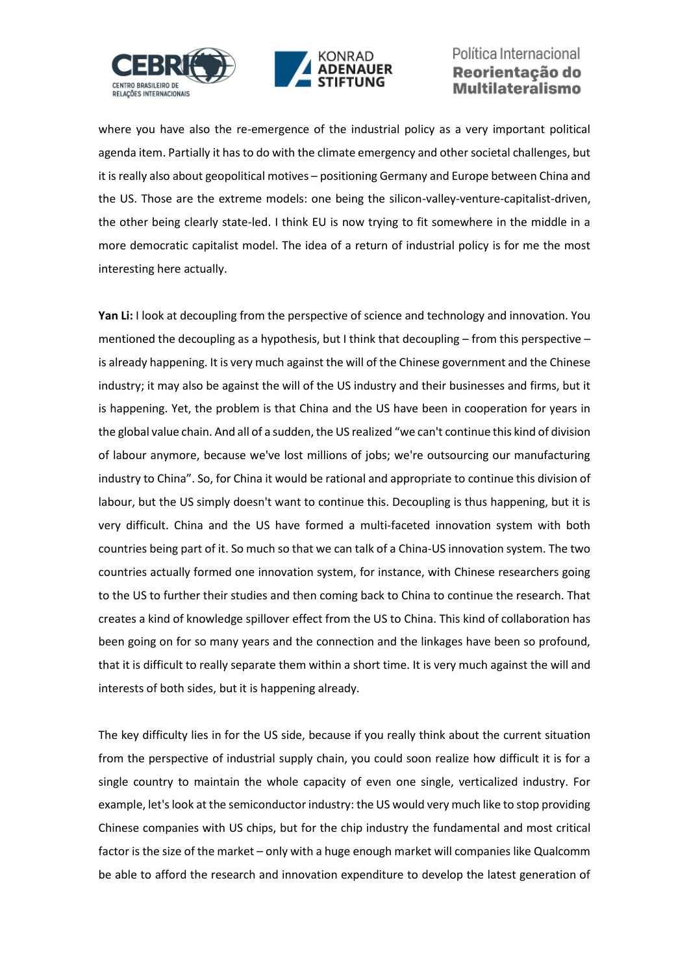



where you have also the re-emergence of the industrial policy as a very important political agenda item. Partially it has to do with the climate emergency and other societal challenges, but it is really also about geopolitical motives – positioning Germany and Europe between China and the US. Those are the extreme models: one being the silicon-valley-venture-capitalist-driven, the other being clearly state-led. I think EU is now trying to fit somewhere in the middle in a more democratic capitalist model. The idea of a return of industrial policy is for me the most interesting here actually.

Yan Li: I look at decoupling from the perspective of science and technology and innovation. You mentioned the decoupling as a hypothesis, but I think that decoupling – from this perspective – is already happening. It is very much against the will of the Chinese government and the Chinese industry; it may also be against the will of the US industry and their businesses and firms, but it is happening. Yet, the problem is that China and the US have been in cooperation for years in the global value chain. And all of a sudden, the US realized "we can't continue this kind of division of labour anymore, because we've lost millions of jobs; we're outsourcing our manufacturing industry to China". So, for China it would be rational and appropriate to continue this division of labour, but the US simply doesn't want to continue this. Decoupling is thus happening, but it is very difficult. China and the US have formed a multi-faceted innovation system with both countries being part of it. So much so that we can talk of a China-US innovation system. The two countries actually formed one innovation system, for instance, with Chinese researchers going to the US to further their studies and then coming back to China to continue the research. That creates a kind of knowledge spillover effect from the US to China. This kind of collaboration has been going on for so many years and the connection and the linkages have been so profound, that it is difficult to really separate them within a short time. It is very much against the will and interests of both sides, but it is happening already.

The key difficulty lies in for the US side, because if you really think about the current situation from the perspective of industrial supply chain, you could soon realize how difficult it is for a single country to maintain the whole capacity of even one single, verticalized industry. For example, let's look at the semiconductor industry: the US would very much like to stop providing Chinese companies with US chips, but for the chip industry the fundamental and most critical factor is the size of the market – only with a huge enough market will companies like Qualcomm be able to afford the research and innovation expenditure to develop the latest generation of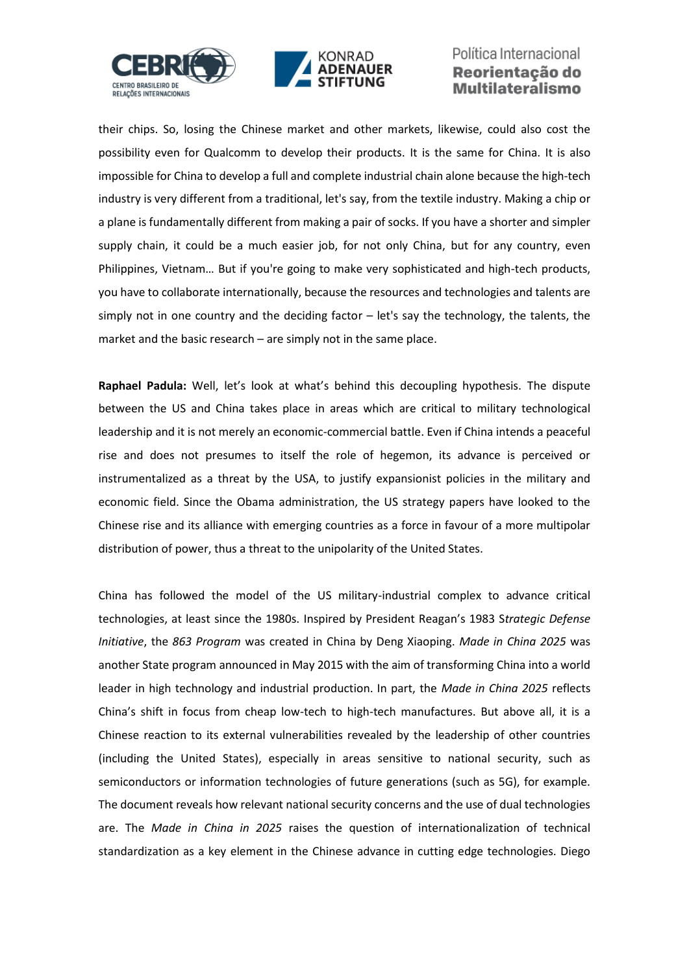



their chips. So, losing the Chinese market and other markets, likewise, could also cost the possibility even for Qualcomm to develop their products. It is the same for China. It is also impossible for China to develop a full and complete industrial chain alone because the high-tech industry is very different from a traditional, let's say, from the textile industry. Making a chip or a plane is fundamentally different from making a pair of socks. If you have a shorter and simpler supply chain, it could be a much easier job, for not only China, but for any country, even Philippines, Vietnam… But if you're going to make very sophisticated and high-tech products, you have to collaborate internationally, because the resources and technologies and talents are simply not in one country and the deciding factor – let's say the technology, the talents, the market and the basic research – are simply not in the same place.

**Raphael Padula:** Well, let's look at what's behind this decoupling hypothesis. The dispute between the US and China takes place in areas which are critical to military technological leadership and it is not merely an economic-commercial battle. Even if China intends a peaceful rise and does not presumes to itself the role of hegemon, its advance is perceived or instrumentalized as a threat by the USA, to justify expansionist policies in the military and economic field. Since the Obama administration, the US strategy papers have looked to the Chinese rise and its alliance with emerging countries as a force in favour of a more multipolar distribution of power, thus a threat to the unipolarity of the United States.

China has followed the model of the US military-industrial complex to advance critical technologies, at least since the 1980s. Inspired by President Reagan's 1983 S*trategic Defense Initiative*, the *863 Program* was created in China by Deng Xiaoping. *Made in China 2025* was another State program announced in May 2015 with the aim of transforming China into a world leader in high technology and industrial production. In part, the *Made in China 2025* reflects China's shift in focus from cheap low-tech to high-tech manufactures. But above all, it is a Chinese reaction to its external vulnerabilities revealed by the leadership of other countries (including the United States), especially in areas sensitive to national security, such as semiconductors or information technologies of future generations (such as 5G), for example. The document reveals how relevant national security concerns and the use of dual technologies are. The *Made in China in 2025* raises the question of internationalization of technical standardization as a key element in the Chinese advance in cutting edge technologies. Diego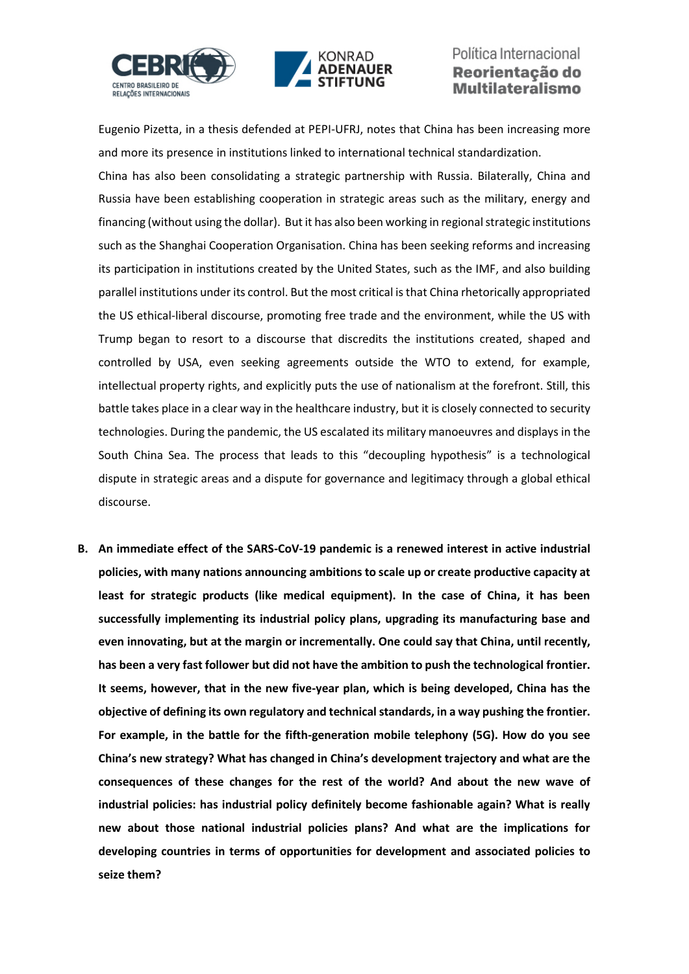



Eugenio Pizetta, in a thesis defended at PEPI-UFRJ, notes that China has been increasing more and more its presence in institutions linked to international technical standardization.

China has also been consolidating a strategic partnership with Russia. Bilaterally, China and Russia have been establishing cooperation in strategic areas such as the military, energy and financing (without using the dollar). But it has also been working in regional strategic institutions such as the Shanghai Cooperation Organisation. China has been seeking reforms and increasing its participation in institutions created by the United States, such as the IMF, and also building parallel institutions under its control. But the most critical is that China rhetorically appropriated the US ethical-liberal discourse, promoting free trade and the environment, while the US with Trump began to resort to a discourse that discredits the institutions created, shaped and controlled by USA, even seeking agreements outside the WTO to extend, for example, intellectual property rights, and explicitly puts the use of nationalism at the forefront. Still, this battle takes place in a clear way in the healthcare industry, but it is closely connected to security technologies. During the pandemic, the US escalated its military manoeuvres and displays in the South China Sea. The process that leads to this "decoupling hypothesis" is a technological dispute in strategic areas and a dispute for governance and legitimacy through a global ethical discourse.

**B. An immediate effect of the SARS-CoV-19 pandemic is a renewed interest in active industrial policies, with many nations announcing ambitions to scale up or create productive capacity at least for strategic products (like medical equipment). In the case of China, it has been successfully implementing its industrial policy plans, upgrading its manufacturing base and even innovating, but at the margin or incrementally. One could say that China, until recently, has been a very fast follower but did not have the ambition to push the technological frontier. It seems, however, that in the new five-year plan, which is being developed, China has the objective of defining its own regulatory and technical standards, in a way pushing the frontier. For example, in the battle for the fifth-generation mobile telephony (5G). How do you see China's new strategy? What has changed in China's development trajectory and what are the consequences of these changes for the rest of the world? And about the new wave of industrial policies: has industrial policy definitely become fashionable again? What is really new about those national industrial policies plans? And what are the implications for developing countries in terms of opportunities for development and associated policies to seize them?**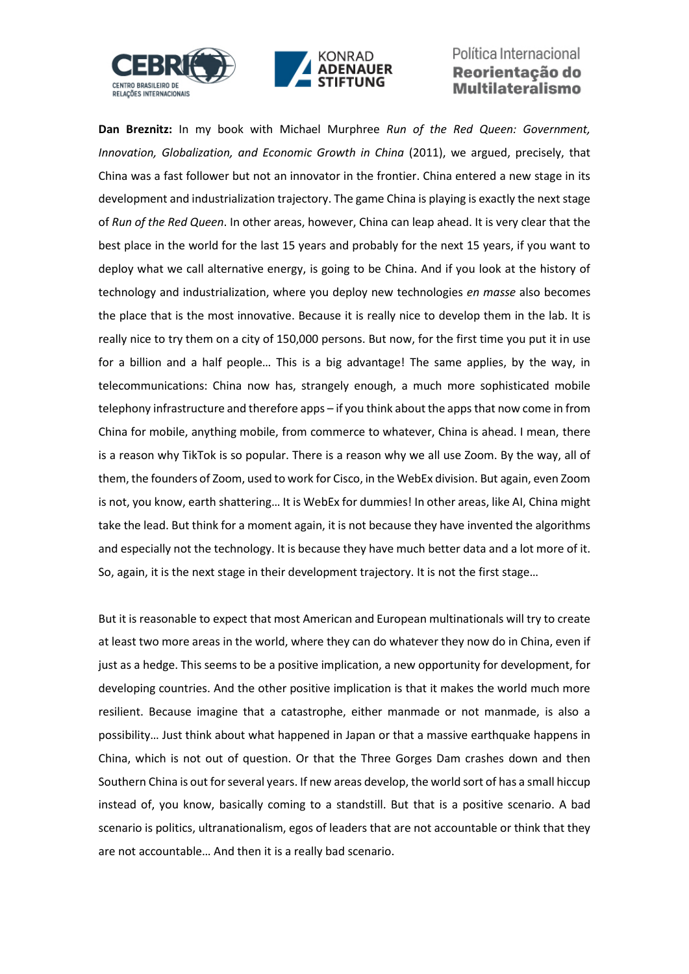



**Dan Breznitz:** In my book with Michael Murphree *Run of the Red Queen: Government, Innovation, Globalization, and Economic Growth in China* (2011), we argued, precisely, that China was a fast follower but not an innovator in the frontier. China entered a new stage in its development and industrialization trajectory. The game China is playing is exactly the next stage of *Run of the Red Queen*. In other areas, however, China can leap ahead. It is very clear that the best place in the world for the last 15 years and probably for the next 15 years, if you want to deploy what we call alternative energy, is going to be China. And if you look at the history of technology and industrialization, where you deploy new technologies *en masse* also becomes the place that is the most innovative. Because it is really nice to develop them in the lab. It is really nice to try them on a city of 150,000 persons. But now, for the first time you put it in use for a billion and a half people… This is a big advantage! The same applies, by the way, in telecommunications: China now has, strangely enough, a much more sophisticated mobile telephony infrastructure and therefore apps – if you think about the appsthat now come in from China for mobile, anything mobile, from commerce to whatever, China is ahead. I mean, there is a reason why TikTok is so popular. There is a reason why we all use Zoom. By the way, all of them, the founders of Zoom, used to work for Cisco, in the WebEx division. But again, even Zoom is not, you know, earth shattering… It is WebEx for dummies! In other areas, like AI, China might take the lead. But think for a moment again, it is not because they have invented the algorithms and especially not the technology. It is because they have much better data and a lot more of it. So, again, it is the next stage in their development trajectory. It is not the first stage…

But it is reasonable to expect that most American and European multinationals will try to create at least two more areas in the world, where they can do whatever they now do in China, even if just as a hedge. This seems to be a positive implication, a new opportunity for development, for developing countries. And the other positive implication is that it makes the world much more resilient. Because imagine that a catastrophe, either manmade or not manmade, is also a possibility… Just think about what happened in Japan or that a massive earthquake happens in China, which is not out of question. Or that the Three Gorges Dam crashes down and then Southern China is out for several years. If new areas develop, the world sort of has a small hiccup instead of, you know, basically coming to a standstill. But that is a positive scenario. A bad scenario is politics, ultranationalism, egos of leaders that are not accountable or think that they are not accountable… And then it is a really bad scenario.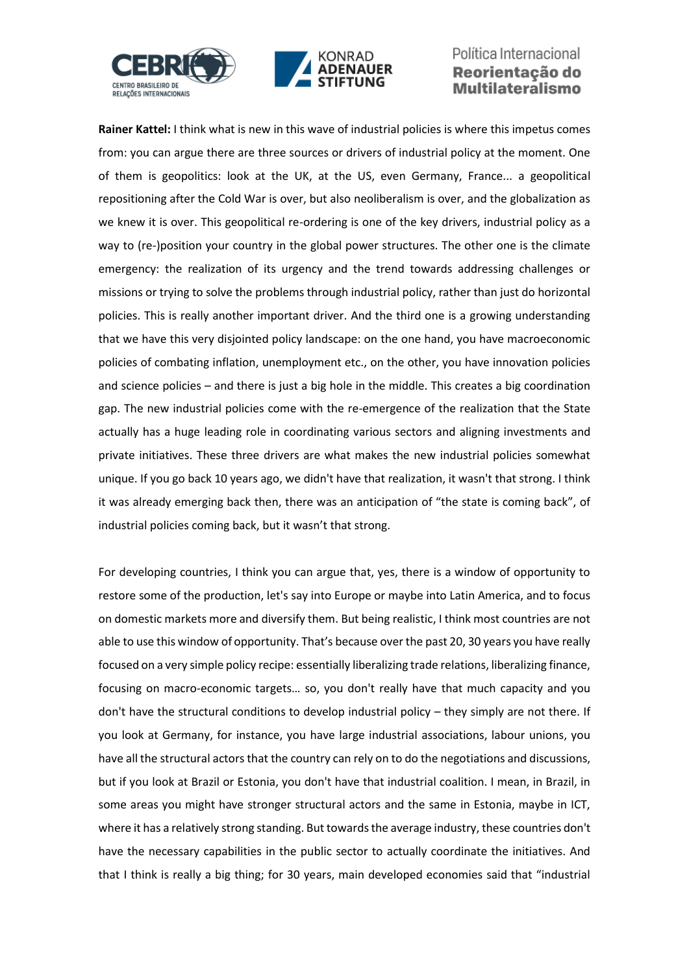



**Rainer Kattel:** I think what is new in this wave of industrial policies is where this impetus comes from: you can argue there are three sources or drivers of industrial policy at the moment. One of them is geopolitics: look at the UK, at the US, even Germany, France... a geopolitical repositioning after the Cold War is over, but also neoliberalism is over, and the globalization as we knew it is over. This geopolitical re-ordering is one of the key drivers, industrial policy as a way to (re-)position your country in the global power structures. The other one is the climate emergency: the realization of its urgency and the trend towards addressing challenges or missions or trying to solve the problems through industrial policy, rather than just do horizontal policies. This is really another important driver. And the third one is a growing understanding that we have this very disjointed policy landscape: on the one hand, you have macroeconomic policies of combating inflation, unemployment etc., on the other, you have innovation policies and science policies – and there is just a big hole in the middle. This creates a big coordination gap. The new industrial policies come with the re-emergence of the realization that the State actually has a huge leading role in coordinating various sectors and aligning investments and private initiatives. These three drivers are what makes the new industrial policies somewhat unique. If you go back 10 years ago, we didn't have that realization, it wasn't that strong. I think it was already emerging back then, there was an anticipation of "the state is coming back", of industrial policies coming back, but it wasn't that strong.

For developing countries, I think you can argue that, yes, there is a window of opportunity to restore some of the production, let's say into Europe or maybe into Latin America, and to focus on domestic markets more and diversify them. But being realistic, I think most countries are not able to use this window of opportunity. That's because over the past 20, 30 years you have really focused on a very simple policy recipe: essentially liberalizing trade relations, liberalizing finance, focusing on macro-economic targets… so, you don't really have that much capacity and you don't have the structural conditions to develop industrial policy – they simply are not there. If you look at Germany, for instance, you have large industrial associations, labour unions, you have all the structural actors that the country can rely on to do the negotiations and discussions, but if you look at Brazil or Estonia, you don't have that industrial coalition. I mean, in Brazil, in some areas you might have stronger structural actors and the same in Estonia, maybe in ICT, where it has a relatively strong standing. But towards the average industry, these countries don't have the necessary capabilities in the public sector to actually coordinate the initiatives. And that I think is really a big thing; for 30 years, main developed economies said that "industrial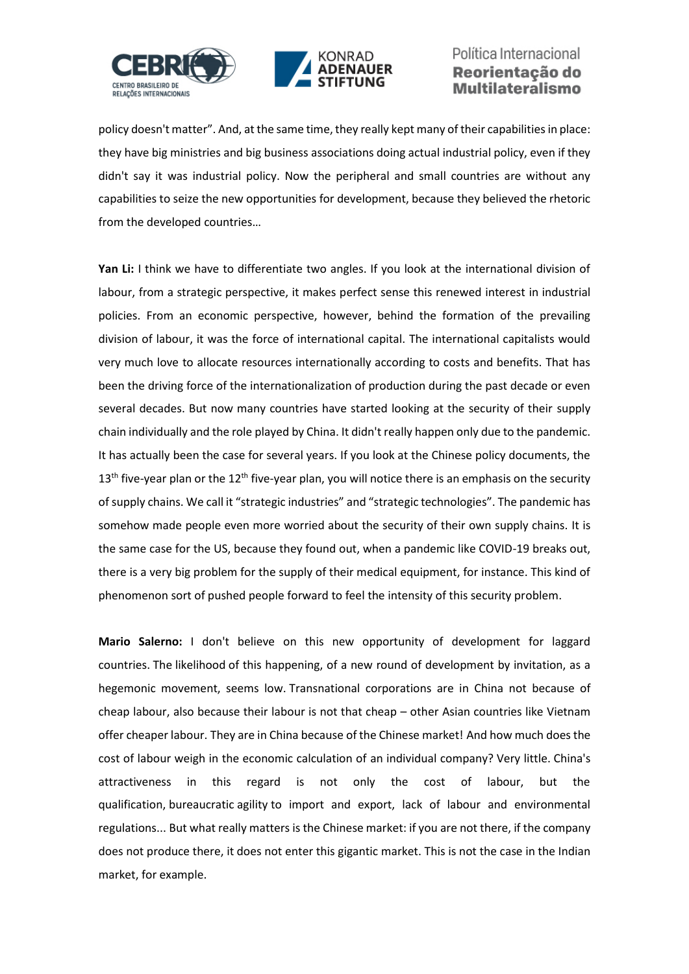



policy doesn't matter". And, at the same time, they really kept many of their capabilities in place: they have big ministries and big business associations doing actual industrial policy, even if they didn't say it was industrial policy. Now the peripheral and small countries are without any capabilities to seize the new opportunities for development, because they believed the rhetoric from the developed countries…

**Yan Li:** I think we have to differentiate two angles. If you look at the international division of labour, from a strategic perspective, it makes perfect sense this renewed interest in industrial policies. From an economic perspective, however, behind the formation of the prevailing division of labour, it was the force of international capital. The international capitalists would very much love to allocate resources internationally according to costs and benefits. That has been the driving force of the internationalization of production during the past decade or even several decades. But now many countries have started looking at the security of their supply chain individually and the role played by China. It didn't really happen only due to the pandemic. It has actually been the case for several years. If you look at the Chinese policy documents, the  $13<sup>th</sup>$  five-year plan or the  $12<sup>th</sup>$  five-year plan, you will notice there is an emphasis on the security of supply chains. We call it "strategic industries" and "strategic technologies". The pandemic has somehow made people even more worried about the security of their own supply chains. It is the same case for the US, because they found out, when a pandemic like COVID-19 breaks out, there is a very big problem for the supply of their medical equipment, for instance. This kind of phenomenon sort of pushed people forward to feel the intensity of this security problem.

**Mario Salerno:** I don't believe on this new opportunity of development for laggard countries. The likelihood of this happening, of a new round of development by invitation, as a hegemonic movement, seems low. Transnational corporations are in China not because of cheap labour, also because their labour is not that cheap – other Asian countries like Vietnam offer cheaper labour. They are in China because of the Chinese market! And how much does the cost of labour weigh in the economic calculation of an individual company? Very little. China's attractiveness in this regard is not only the cost of labour, but the qualification, bureaucratic agility to import and export, lack of labour and environmental regulations... But what really matters is the Chinese market: if you are not there, if the company does not produce there, it does not enter this gigantic market. This is not the case in the Indian market, for example.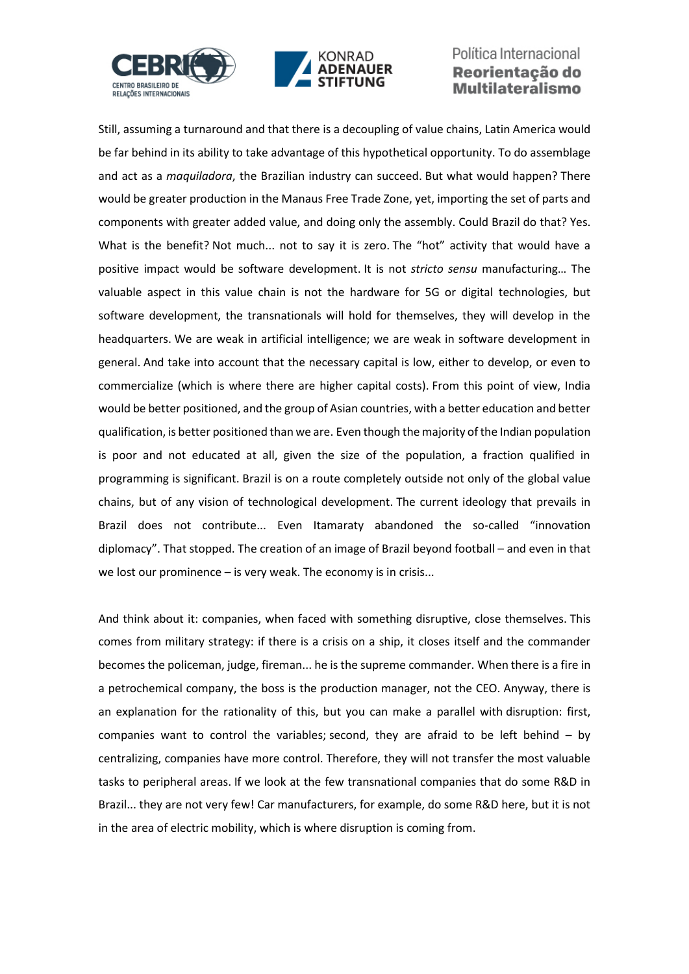



Still, assuming a turnaround and that there is a decoupling of value chains, Latin America would be far behind in its ability to take advantage of this hypothetical opportunity. To do assemblage and act as a *maquiladora*, the Brazilian industry can succeed. But what would happen? There would be greater production in the Manaus Free Trade Zone, yet, importing the set of parts and components with greater added value, and doing only the assembly. Could Brazil do that? Yes. What is the benefit? Not much... not to say it is zero. The "hot" activity that would have a positive impact would be software development. It is not *stricto sensu* manufacturing… The valuable aspect in this value chain is not the hardware for 5G or digital technologies, but software development, the transnationals will hold for themselves, they will develop in the headquarters. We are weak in artificial intelligence; we are weak in software development in general. And take into account that the necessary capital is low, either to develop, or even to commercialize (which is where there are higher capital costs). From this point of view, India would be better positioned, and the group of Asian countries, with a better education and better qualification, is better positioned than we are. Even though the majority of the Indian population is poor and not educated at all, given the size of the population, a fraction qualified in programming is significant. Brazil is on a route completely outside not only of the global value chains, but of any vision of technological development. The current ideology that prevails in Brazil does not contribute... Even Itamaraty abandoned the so-called "innovation diplomacy". That stopped. The creation of an image of Brazil beyond football – and even in that we lost our prominence – is very weak. The economy is in crisis...

And think about it: companies, when faced with something disruptive, close themselves. This comes from military strategy: if there is a crisis on a ship, it closes itself and the commander becomes the policeman, judge, fireman... he is the supreme commander. When there is a fire in a petrochemical company, the boss is the production manager, not the CEO. Anyway, there is an explanation for the rationality of this, but you can make a parallel with disruption: first, companies want to control the variables; second, they are afraid to be left behind – by centralizing, companies have more control. Therefore, they will not transfer the most valuable tasks to peripheral areas. If we look at the few transnational companies that do some R&D in Brazil... they are not very few! Car manufacturers, for example, do some R&D here, but it is not in the area of electric mobility, which is where disruption is coming from.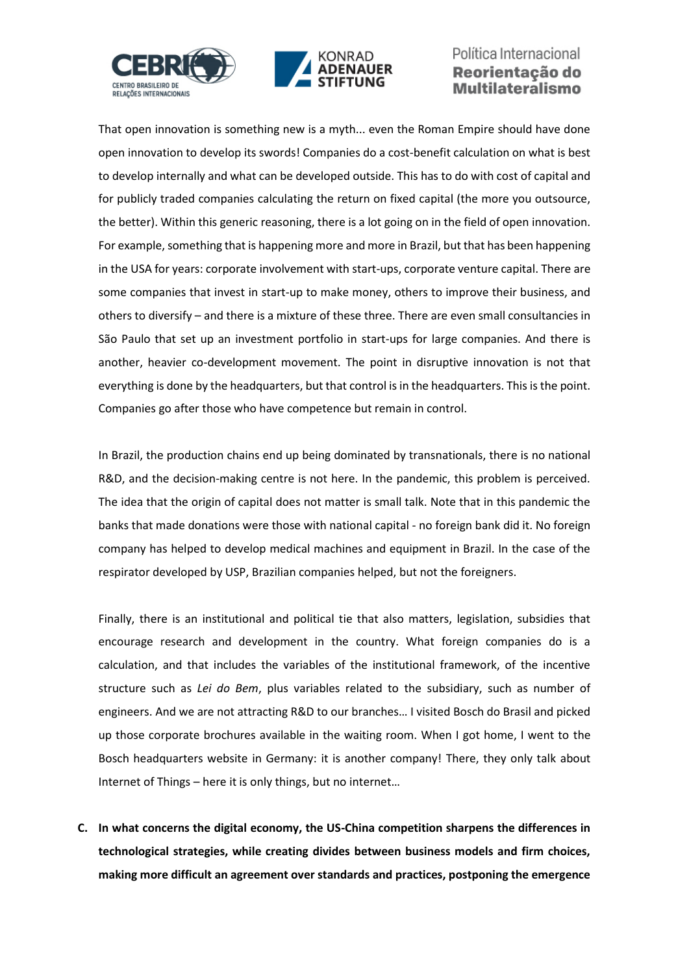



That open innovation is something new is a myth... even the Roman Empire should have done open innovation to develop its swords! Companies do a cost-benefit calculation on what is best to develop internally and what can be developed outside. This has to do with cost of capital and for publicly traded companies calculating the return on fixed capital (the more you outsource, the better). Within this generic reasoning, there is a lot going on in the field of open innovation. For example, something that is happening more and more in Brazil, but that has been happening in the USA for years: corporate involvement with start-ups, corporate venture capital. There are some companies that invest in start-up to make money, others to improve their business, and others to diversify – and there is a mixture of these three. There are even small consultancies in São Paulo that set up an investment portfolio in start-ups for large companies. And there is another, heavier co-development movement. The point in disruptive innovation is not that everything is done by the headquarters, but that control is in the headquarters. This is the point. Companies go after those who have competence but remain in control.

In Brazil, the production chains end up being dominated by transnationals, there is no national R&D, and the decision-making centre is not here. In the pandemic, this problem is perceived. The idea that the origin of capital does not matter is small talk. Note that in this pandemic the banks that made donations were those with national capital - no foreign bank did it. No foreign company has helped to develop medical machines and equipment in Brazil. In the case of the respirator developed by USP, Brazilian companies helped, but not the foreigners.

Finally, there is an institutional and political tie that also matters, legislation, subsidies that encourage research and development in the country. What foreign companies do is a calculation, and that includes the variables of the institutional framework, of the incentive structure such as *Lei do Bem*, plus variables related to the subsidiary, such as number of engineers. And we are not attracting R&D to our branches… I visited Bosch do Brasil and picked up those corporate brochures available in the waiting room. When I got home, I went to the Bosch headquarters website in Germany: it is another company! There, they only talk about Internet of Things – here it is only things, but no internet…

**C. In what concerns the digital economy, the US-China competition sharpens the differences in technological strategies, while creating divides between business models and firm choices, making more difficult an agreement over standards and practices, postponing the emergence**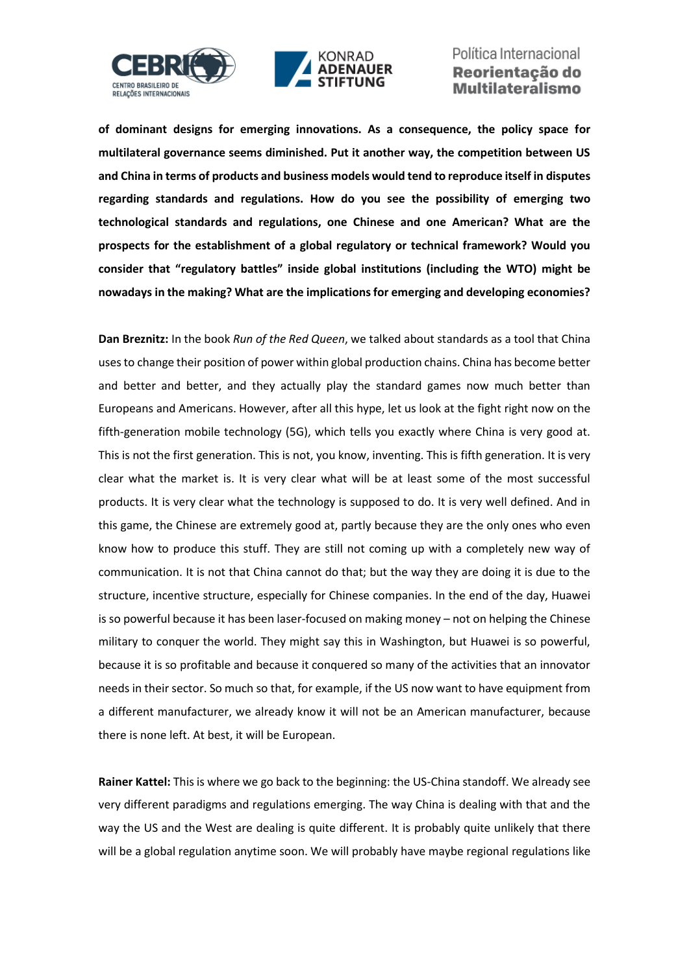



**of dominant designs for emerging innovations. As a consequence, the policy space for multilateral governance seems diminished. Put it another way, the competition between US and China in terms of products and business models would tend to reproduce itself in disputes regarding standards and regulations. How do you see the possibility of emerging two technological standards and regulations, one Chinese and one American? What are the prospects for the establishment of a global regulatory or technical framework? Would you consider that "regulatory battles" inside global institutions (including the WTO) might be nowadays in the making? What are the implications for emerging and developing economies?**

**Dan Breznitz:** In the book *Run of the Red Queen*, we talked about standards as a tool that China uses to change their position of power within global production chains. China has become better and better and better, and they actually play the standard games now much better than Europeans and Americans. However, after all this hype, let us look at the fight right now on the fifth-generation mobile technology (5G), which tells you exactly where China is very good at. This is not the first generation. This is not, you know, inventing. This is fifth generation. It is very clear what the market is. It is very clear what will be at least some of the most successful products. It is very clear what the technology is supposed to do. It is very well defined. And in this game, the Chinese are extremely good at, partly because they are the only ones who even know how to produce this stuff. They are still not coming up with a completely new way of communication. It is not that China cannot do that; but the way they are doing it is due to the structure, incentive structure, especially for Chinese companies. In the end of the day, Huawei is so powerful because it has been laser-focused on making money – not on helping the Chinese military to conquer the world. They might say this in Washington, but Huawei is so powerful, because it is so profitable and because it conquered so many of the activities that an innovator needs in their sector. So much so that, for example, if the US now want to have equipment from a different manufacturer, we already know it will not be an American manufacturer, because there is none left. At best, it will be European.

**Rainer Kattel:** This is where we go back to the beginning: the US-China standoff. We already see very different paradigms and regulations emerging. The way China is dealing with that and the way the US and the West are dealing is quite different. It is probably quite unlikely that there will be a global regulation anytime soon. We will probably have maybe regional regulations like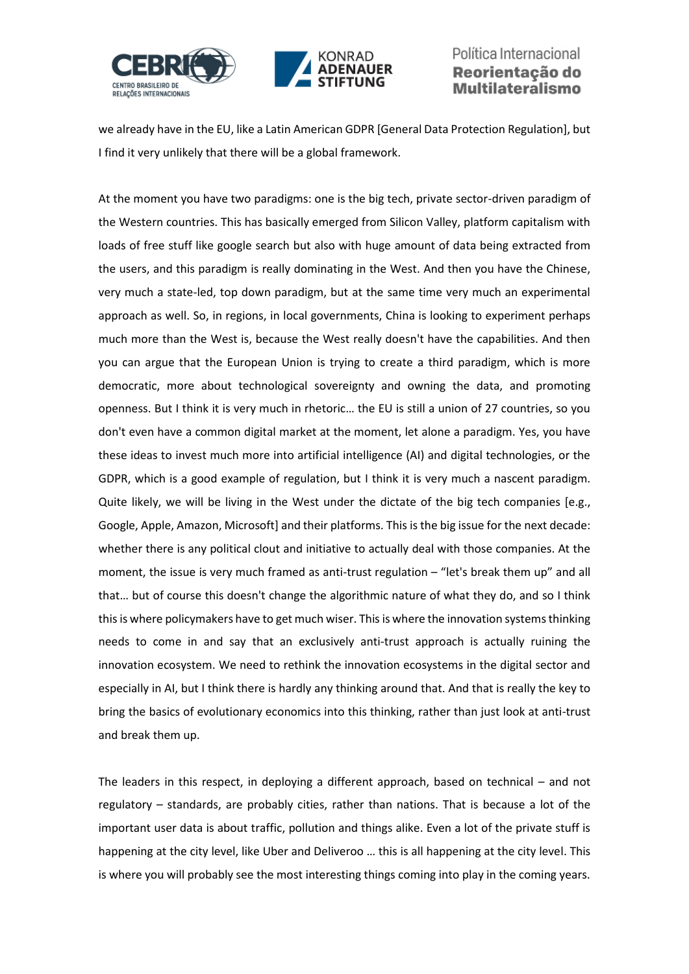



we already have in the EU, like a Latin American GDPR [General Data Protection Regulation], but I find it very unlikely that there will be a global framework.

At the moment you have two paradigms: one is the big tech, private sector-driven paradigm of the Western countries. This has basically emerged from Silicon Valley, platform capitalism with loads of free stuff like google search but also with huge amount of data being extracted from the users, and this paradigm is really dominating in the West. And then you have the Chinese, very much a state-led, top down paradigm, but at the same time very much an experimental approach as well. So, in regions, in local governments, China is looking to experiment perhaps much more than the West is, because the West really doesn't have the capabilities. And then you can argue that the European Union is trying to create a third paradigm, which is more democratic, more about technological sovereignty and owning the data, and promoting openness. But I think it is very much in rhetoric… the EU is still a union of 27 countries, so you don't even have a common digital market at the moment, let alone a paradigm. Yes, you have these ideas to invest much more into artificial intelligence (AI) and digital technologies, or the GDPR, which is a good example of regulation, but I think it is very much a nascent paradigm. Quite likely, we will be living in the West under the dictate of the big tech companies [e.g., Google, Apple, Amazon, Microsoft] and their platforms. This is the big issue for the next decade: whether there is any political clout and initiative to actually deal with those companies. At the moment, the issue is very much framed as anti-trust regulation – "let's break them up" and all that… but of course this doesn't change the algorithmic nature of what they do, and so I think this is where policymakers have to get much wiser. This is where the innovation systems thinking needs to come in and say that an exclusively anti-trust approach is actually ruining the innovation ecosystem. We need to rethink the innovation ecosystems in the digital sector and especially in AI, but I think there is hardly any thinking around that. And that is really the key to bring the basics of evolutionary economics into this thinking, rather than just look at anti-trust and break them up.

The leaders in this respect, in deploying a different approach, based on technical – and not regulatory – standards, are probably cities, rather than nations. That is because a lot of the important user data is about traffic, pollution and things alike. Even a lot of the private stuff is happening at the city level, like Uber and Deliveroo … this is all happening at the city level. This is where you will probably see the most interesting things coming into play in the coming years.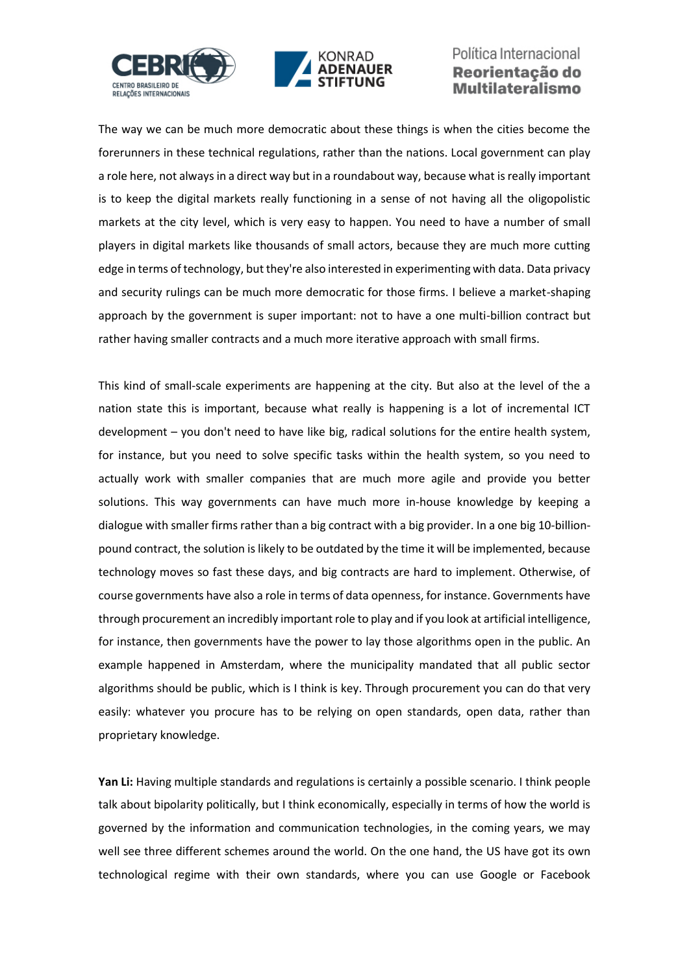



The way we can be much more democratic about these things is when the cities become the forerunners in these technical regulations, rather than the nations. Local government can play a role here, not always in a direct way but in a roundabout way, because what is really important is to keep the digital markets really functioning in a sense of not having all the oligopolistic markets at the city level, which is very easy to happen. You need to have a number of small players in digital markets like thousands of small actors, because they are much more cutting edge in terms of technology, but they're also interested in experimenting with data. Data privacy and security rulings can be much more democratic for those firms. I believe a market-shaping approach by the government is super important: not to have a one multi-billion contract but rather having smaller contracts and a much more iterative approach with small firms.

This kind of small-scale experiments are happening at the city. But also at the level of the a nation state this is important, because what really is happening is a lot of incremental ICT development – you don't need to have like big, radical solutions for the entire health system, for instance, but you need to solve specific tasks within the health system, so you need to actually work with smaller companies that are much more agile and provide you better solutions. This way governments can have much more in-house knowledge by keeping a dialogue with smaller firms rather than a big contract with a big provider. In a one big 10-billionpound contract, the solution is likely to be outdated by the time it will be implemented, because technology moves so fast these days, and big contracts are hard to implement. Otherwise, of course governments have also a role in terms of data openness, for instance. Governments have through procurement an incredibly important role to play and if you look at artificial intelligence, for instance, then governments have the power to lay those algorithms open in the public. An example happened in Amsterdam, where the municipality mandated that all public sector algorithms should be public, which is I think is key. Through procurement you can do that very easily: whatever you procure has to be relying on open standards, open data, rather than proprietary knowledge.

**Yan Li:** Having multiple standards and regulations is certainly a possible scenario. I think people talk about bipolarity politically, but I think economically, especially in terms of how the world is governed by the information and communication technologies, in the coming years, we may well see three different schemes around the world. On the one hand, the US have got its own technological regime with their own standards, where you can use Google or Facebook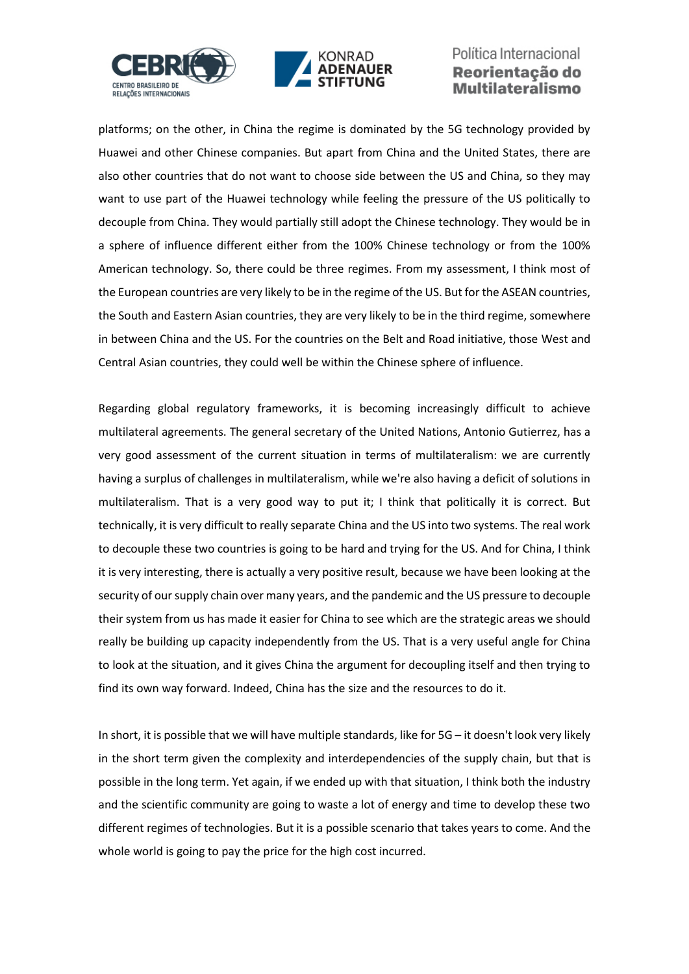



platforms; on the other, in China the regime is dominated by the 5G technology provided by Huawei and other Chinese companies. But apart from China and the United States, there are also other countries that do not want to choose side between the US and China, so they may want to use part of the Huawei technology while feeling the pressure of the US politically to decouple from China. They would partially still adopt the Chinese technology. They would be in a sphere of influence different either from the 100% Chinese technology or from the 100% American technology. So, there could be three regimes. From my assessment, I think most of the European countries are very likely to be in the regime of the US. But for the ASEAN countries, the South and Eastern Asian countries, they are very likely to be in the third regime, somewhere in between China and the US. For the countries on the Belt and Road initiative, those West and Central Asian countries, they could well be within the Chinese sphere of influence.

Regarding global regulatory frameworks, it is becoming increasingly difficult to achieve multilateral agreements. The general secretary of the United Nations, Antonio Gutierrez, has a very good assessment of the current situation in terms of multilateralism: we are currently having a surplus of challenges in multilateralism, while we're also having a deficit of solutions in multilateralism. That is a very good way to put it; I think that politically it is correct. But technically, it is very difficult to really separate China and the US into two systems. The real work to decouple these two countries is going to be hard and trying for the US. And for China, I think it is very interesting, there is actually a very positive result, because we have been looking at the security of our supply chain over many years, and the pandemic and the US pressure to decouple their system from us has made it easier for China to see which are the strategic areas we should really be building up capacity independently from the US. That is a very useful angle for China to look at the situation, and it gives China the argument for decoupling itself and then trying to find its own way forward. Indeed, China has the size and the resources to do it.

In short, it is possible that we will have multiple standards, like for 5G – it doesn't look very likely in the short term given the complexity and interdependencies of the supply chain, but that is possible in the long term. Yet again, if we ended up with that situation, I think both the industry and the scientific community are going to waste a lot of energy and time to develop these two different regimes of technologies. But it is a possible scenario that takes years to come. And the whole world is going to pay the price for the high cost incurred.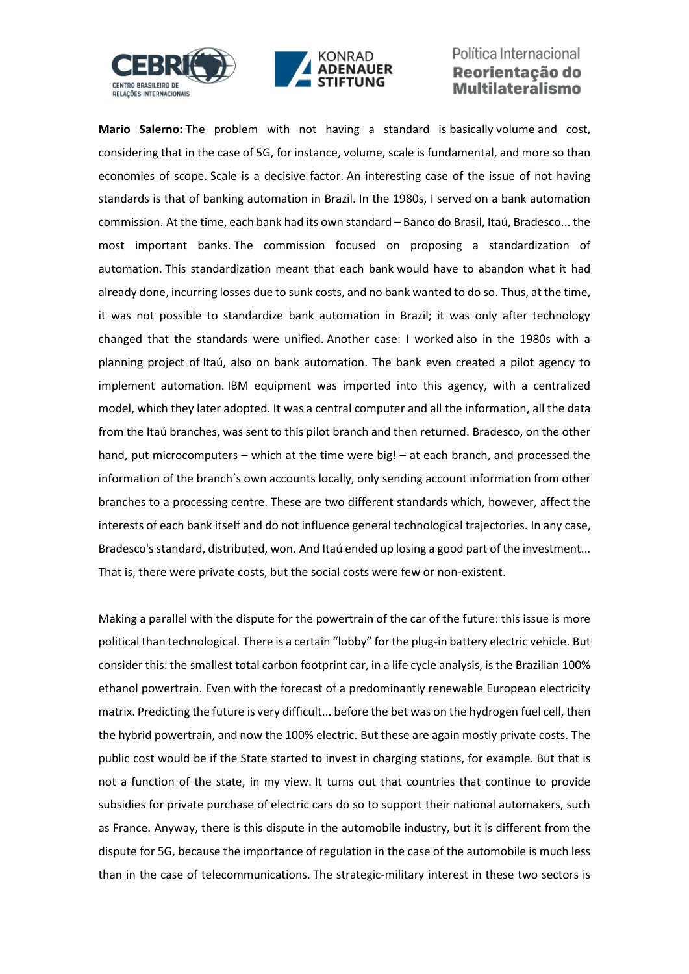



**Mario Salerno:** The problem with not having a standard is basically volume and cost, considering that in the case of 5G, for instance, volume, scale is fundamental, and more so than economies of scope. Scale is a decisive factor. An interesting case of the issue of not having standards is that of banking automation in Brazil. In the 1980s, I served on a bank automation commission. At the time, each bank had its own standard – Banco do Brasil, Itaú, Bradesco... the most important banks. The commission focused on proposing a standardization of automation. This standardization meant that each bank would have to abandon what it had already done, incurring losses due to sunk costs, and no bank wanted to do so. Thus, at the time, it was not possible to standardize bank automation in Brazil; it was only after technology changed that the standards were unified. Another case: I worked also in the 1980s with a planning project of Itaú, also on bank automation. The bank even created a pilot agency to implement automation. IBM equipment was imported into this agency, with a centralized model, which they later adopted. It was a central computer and all the information, all the data from the Itaú branches, was sent to this pilot branch and then returned. Bradesco, on the other hand, put microcomputers – which at the time were big! – at each branch, and processed the information of the branch´s own accounts locally, only sending account information from other branches to a processing centre. These are two different standards which, however, affect the interests of each bank itself and do not influence general technological trajectories. In any case, Bradesco's standard, distributed, won. And Itaú ended up losing a good part of the investment... That is, there were private costs, but the social costs were few or non-existent.

Making a parallel with the dispute for the powertrain of the car of the future: this issue is more political than technological. There is a certain "lobby" for the plug-in battery electric vehicle. But consider this: the smallest total carbon footprint car, in a life cycle analysis, is the Brazilian 100% ethanol powertrain. Even with the forecast of a predominantly renewable European electricity matrix. Predicting the future is very difficult... before the bet was on the hydrogen fuel cell, then the hybrid powertrain, and now the 100% electric. But these are again mostly private costs. The public cost would be if the State started to invest in charging stations, for example. But that is not a function of the state, in my view. It turns out that countries that continue to provide subsidies for private purchase of electric cars do so to support their national automakers, such as France. Anyway, there is this dispute in the automobile industry, but it is different from the dispute for 5G, because the importance of regulation in the case of the automobile is much less than in the case of telecommunications. The strategic-military interest in these two sectors is